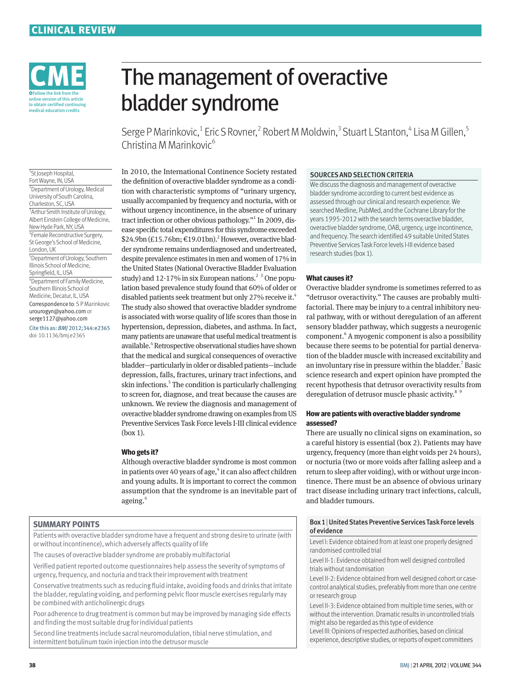

# The management of overactive bladder syndrome

Serge P Marinkovic,<sup>1</sup> Eric S Rovner,<sup>2</sup> Robert M Moldwin,<sup>3</sup> Stuart L Stanton,<sup>4</sup> Lisa M Gillen,<sup>5</sup> Christina M Marinkovic6

1 St Joseph Hospital, Fort Wayne, IN, USA 2 Department of Urology, Medical University of South Carolina, Charleston, SC, USA <sup>3</sup> Arthur Smith Institute of Urology, Albert Einstein College of Medicine, New Hyde Park, NY, USA 4 Female Reconstructive Surgery, St George's School of Medicine, London, UK 5 Department of Urology, Southern Illinois School of Medicine, Springfield, IL, USA 6 Department of Family Medicine, Southern Illinois School of Medicine, Decatur, IL, USA Correspondence to: S P Marinkovic urourogyn@yahoo.com or serge1127@yahoo.com

Cite this as: *BMJ* 2012;344:e2365 doi: 10.1136/bmj.e2365

In 2010, the International Continence Society restated the definition of overactive bladder syndrome as a condition with characteristic symptoms of "urinary urgency, usually accompanied by frequency and nocturia, with or without urgency incontinence, in the absence of urinary tract infection or other obvious pathology."<sup>1</sup> In 2009, disease specific total expenditures for this syndrome exceeded \$24.9bn (£15.76bn; €19.01bn).<sup>2</sup> However, overactive bladder syndrome remains underdiagnosed and undertreated, despite prevalence estimates in men and women of 17% in the United States (National Overactive Bladder Evaluation study) and 12-17% in six European nations.<sup>2</sup> <sup>3</sup> One population based prevalence study found that 60% of older or disabled patients seek treatment but only 27% receive it.<sup>4</sup> The study also showed that overactive bladder syndrome is associated with worse quality of life scores than those in hypertension, depression, diabetes, and asthma. In fact, many patients are unaware that useful medical treatment is available.<sup>4</sup> Retrospective observational studies have shown that the medical and surgical consequences of overactive bladder—particularly in older or disabled patients—include depression, falls, fractures, urinary tract infections, and skin infections.<sup>5</sup> The condition is particularly challenging to screen for, diagnose, and treat because the causes are unknown. We review the diagnosis and management of overactive bladder syndrome drawing on examples from US Preventive Services Task Force levels I-III clinical evidence (box 1).

#### **Who gets it?**

Although overactive bladder syndrome is most common in patients over 40 years of age,<sup>4</sup> it can also affect children and young adults. It is important to correct the common assumption that the syndrome is an inevitable part of ageing.

#### **SUMMARY POINTS**

Patients with overactive bladder syndrome have a frequent and strong desire to urinate (with or without incontinence), which adversely affects quality of life

The causes of overactive bladder syndrome are probably multifactorial

Verified patient reported outcome questionnaires help assess the severity of symptoms of urgency, frequency, and nocturia and track their improvement with treatment

Conservative treatments such as reducing fluid intake, avoiding foods and drinks that irritate the bladder, regulating voiding, and performing pelvic floor muscle exercises regularly may be combined with anticholinergic drugs

Poor adherence to drug treatment is common but may be improved by managing side effects and finding the most suitable drug for individual patients

Second line treatments include sacral neuromodulation, tibial nerve stimulation, and intermittent botulinum toxin injection into the detrusor muscle

#### SOURCES AND SELECTION CRITERIA

We discuss the diagnosis and management of overactive bladder syndrome according to current best evidence as assessed through our clinical and research experience. We searched Medline, PubMed, and the Cochrane Library for the years 1995-2012 with the search terms overactive bladder, overactive bladder syndrome, OAB, urgency, urge incontinence, and frequency. The search identified 49 suitable United States Preventive Services Task Force levels I-III evidence based research studies (box 1).

#### **What causes it?**

Overactive bladder syndrome is sometimes referred to as "detrusor overactivity." The causes are probably multifactorial. There may be injury to a central inhibitory neural pathway, with or without deregulation of an afferent sensory bladder pathway, which suggests a neurogenic component.<sup>6</sup> A myogenic component is also a possibility because there seems to be potential for partial denervation of the bladder muscle with increased excitability and an involuntary rise in pressure within the bladder.<sup>7</sup> Basic science research and expert opinion have prompted the recent hypothesis that detrusor overactivity results from deregulation of detrusor muscle phasic activity.<sup>8</sup> <sup>9</sup>

#### **How are patients with overactive bladder syndrome assessed?**

There are usually no clinical signs on examination, so a careful history is essential (box 2). Patients may have urgency, frequency (more than eight voids per 24 hours), or nocturia (two or more voids after falling asleep and a return to sleep after voiding), with or without urge incontinence. There must be an absence of obvious urinary tract disease including urinary tract infections, calculi, and bladder tumours.

Box 1|United States Preventive Services Task Force levels of evidence

Level I: Evidence obtained from at least one properly designed randomised controlled trial

Level II-1: Evidence obtained from well designed controlled trials without randomisation

Level II-2: Evidence obtained from well designed cohort or casecontrol analytical studies, preferably from more than one centre or research group

Level II-3: Evidence obtained from multiple time series, with or without the intervention. Dramatic results in uncontrolled trials might also be regarded as this type of evidence

Level III: Opinions of respected authorities, based on clinical experience, descriptive studies, or reports of expert committees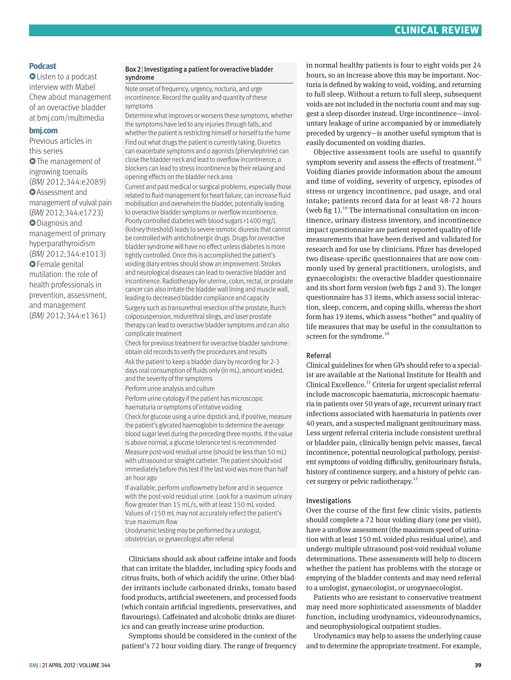## **CLINICAL REVIEW**

### **Podcast**

**O** Listen to a podcast interview with Mabel Chew about management of an overactive bladder at bmj.com/multimedia

#### **bmj.com**

Previous articles in this series **O** The management of ingrowing toenails (*BMJ* 2012;344:e2089) **O** Assessment and management of vulval pain (*BMJ* 2012;344:e1723) **O** Diagnosis and management of primary hyperparathyroidism (*BMJ* 2012;344:e1013) **O** Female genital mutilation: the role of health professionals in prevention, assessment, and management (*BMJ* 2012;344:e1361)

#### Box 2|Investigating a patient for overactive bladder syndrome

Note onset of frequency, urgency, nocturia, and urge incontinence. Record the quality and quantity of these symptoms

Determine what improves or worsens these symptoms, whether the symptoms have led to any injuries through falls, and whether the patient is restricting himself or herself to the home Find out what drugs the patient is currently taking. Diuretics can exacerbate symptoms and α agonists (phenylephrine) can close the bladder neck and lead to overflow incontinence; α blockers can lead to stress incontinence by their relaxing and opening effects on the bladder neck area

Current and past medical or surgical problems, especially those related to fluid management for heart failure, can increase fluid mobilisation and overwhelm the bladder, potentially leading to overactive bladder symptoms or overflow incontinence. Poorly controlled diabetes with blood sugars >1400 mg/L (kidney threshold) leads to severe osmotic diuresis that cannot be controlled with anticholinergic drugs. Drugs for overactive bladder syndrome will have no effect unless diabetes is more tightly controlled. Once this is accomplished the patient's voiding diary entries should show an improvement. Strokes and neurological diseases can lead to overactive bladder and incontinence. Radiotherapy for uterine, colon, rectal, or prostate cancer can also irritate the bladder wall lining and muscle wall, leading to decreased bladder compliance and capacity Surgery such as transurethral resection of the prostate, Burch colposuspension, midurethral slings, and laser prostate therapy can lead to overactive bladder symptoms and can also complicate treatment

Check for previous treatment for overactive bladder syndrome: obtain old records to verify the procedures and results Ask the patient to keep a bladder diary by recording for 2-3 days oral consumption of fluids only (in mL), amount voided, and the severity of the symptoms

Perform urine analysis and culture

Perform urine cytology if the patient has microscopic haematuria or symptoms of irritative voiding

Check for glucose using a urine dipstick and, if positive, measure the patient's glycated haemoglobin to determine the average blood sugar level during the preceding three months. If the value is above normal, a glucose tolerance test is recommended Measure post-void residual urine (should be less than 50 mL) with ultrasound or straight catheter. The patient should void immediately before this test if the last void was more than half an hour ago

If available, perform uroflowmetry before and in sequence with the post-void residual urine. Look for a maximum urinary flow greater than 15 mL/s, with at least 150 mL voided. Values of <150 mL may not accurately reflect the patient's true maximum flow

Urodynamic testing may be performed by a urologist, obstetrician, or gynaecologist after referral

Clinicians should ask about caffeine intake and foods that can irritate the bladder, including spicy foods and citrus fruits, both of which acidify the urine. Other bladder irritants include carbonated drinks, tomato based food products, artificial sweeteners, and processed foods (which contain artificial ingredients, preservatives, and flavourings). Caffeinated and alcoholic drinks are diuretics and can greatly increase urine production.

Symptoms should be considered in the context of the patient's 72 hour voiding diary. The range of frequency in normal healthy patients is four to eight voids per 24 hours, so an increase above this may be important. Nocturia is defined by waking to void, voiding, and returning to full sleep. Without a return to full sleep, subsequent voids are not included in the nocturia count and may suggest a sleep disorder instead. Urge incontinence—involuntary leakage of urine accompanied by or immediately preceded by urgency—is another useful symptom that is easily documented on voiding diaries.

Objective assessment tools are useful to quantify symptom severity and assess the effects of treatment.<sup>10</sup> Voiding diaries provide information about the amount and time of voiding, severity of urgency, episodes of stress or urgency incontinence, pad usage, and oral intake; patients record data for at least 48-72 hours (web fig 1).<sup>10</sup> The international consultation on incontinence, urinary distress inventory, and incontinence impact questionnaire are patient reported quality of life measurements that have been derived and validated for research and for use by clinicians. Pfizer has developed two disease-specific questionnaires that are now commonly used by general practitioners, urologists, and gynaecologists: the overactive bladder questionnaire and its short form version (web figs 2 and 3). The longer questionnaire has 33 items, which assess social interaction, sleep, concern, and coping skills, whereas the short form has 19 items, which assess "bother" and quality of life measures that may be useful in the consultation to screen for the syndrome.<sup>10</sup>

#### Referral

Clinical guidelines for when GPs should refer to a specialist are available at the National Institute for Health and Clinical Excellence.<sup>11</sup> Criteria for urgent specialist referral include macroscopic haematuria, microscopic haematuria in patients over 50 years of age, recurrent urinary tract infections associated with haematuria in patients over 40 years, and a suspected malignant genitourinary mass. Less urgent referral criteria include consistent urethral or bladder pain, clinically benign pelvic masses, faecal incontinence, potential neurological pathology, persistent symptoms of voiding difficulty, genitourinary fistula, history of continence surgery, and a history of pelvic cancer surgery or pelvic radiotherapy.<sup>12</sup>

#### Investigations

Over the course of the first few clinic visits, patients should complete a 72 hour voiding diary (one per visit), have a uroflow assessment (the maximum speed of urination with at least 150 mL voided plus residual urine), and undergo multiple ultrasound post-void residual volume determinations. These assessments will help to discern whether the patient has problems with the storage or emptying of the bladder contents and may need referral to a urologist, gynaecologist, or urogynaecologist.

Patients who are resistant to conservative treatment may need more sophisticated assessments of bladder function, including urodynamics, videourodynamics, and neurophysiological outpatient studies.

Urodynamics may help to assess the underlying cause and to determine the appropriate treatment. For example,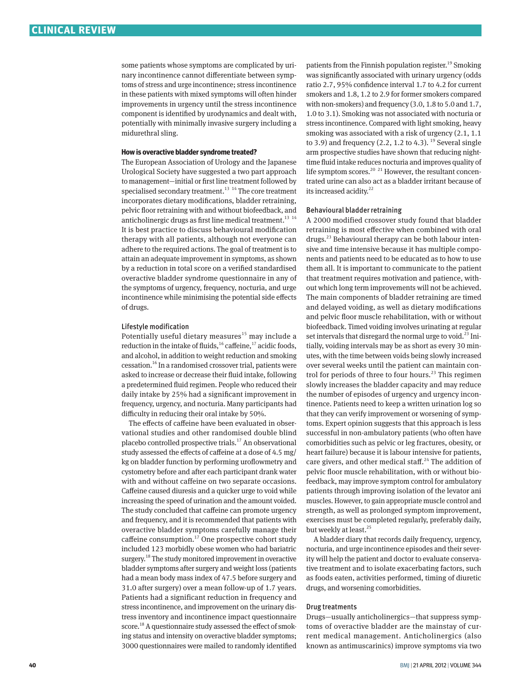some patients whose symptoms are complicated by urinary incontinence cannot differentiate between symptoms of stress and urge incontinence; stress incontinence in these patients with mixed symptoms will often hinder improvements in urgency until the stress incontinence component is identified by urodynamics and dealt with, potentially with minimally invasive surgery including a midurethral sling.

#### **How is overactive bladder syndrome treated?**

The European Association of Urology and the Japanese Urological Society have suggested a two part approach to management—initial or first line treatment followed by specialised secondary treatment.<sup>13</sup> <sup>14</sup> The core treatment incorporates dietary modifications, bladder retraining, pelvic floor retraining with and without biofeedback, and anticholinergic drugs as first line medical treatment.<sup>13 14</sup> It is best practice to discuss behavioural modification therapy with all patients, although not everyone can adhere to the required actions. The goal of treatment is to attain an adequate improvement in symptoms, as shown by a reduction in total score on a verified standardised overactive bladder syndrome questionnaire in any of the symptoms of urgency, frequency, nocturia, and urge incontinence while minimising the potential side effects of drugs.

#### Lifestyle modification

Potentially useful dietary measures $^{15}$  may include a reduction in the intake of fluids,<sup>16</sup> caffeine,<sup>17</sup> acidic foods, and alcohol, in addition to weight reduction and smoking cessation.16 In a randomised crossover trial, patients were asked to increase or decrease their fluid intake, following a predetermined fluid regimen. People who reduced their daily intake by 25% had a significant improvement in frequency, urgency, and nocturia. Many participants had difficulty in reducing their oral intake by 50%.

The effects of caffeine have been evaluated in observational studies and other randomised double blind placebo controlled prospective trials.17 An observational study assessed the effects of caffeine at a dose of 4.5 mg/ kg on bladder function by performing uroflowmetry and cystometry before and after each participant drank water with and without caffeine on two separate occasions. Caffeine caused diuresis and a quicker urge to void while increasing the speed of urination and the amount voided. The study concluded that caffeine can promote urgency and frequency, and it is recommended that patients with overactive bladder symptoms carefully manage their caffeine consumption. $17$  One prospective cohort study included 123 morbidly obese women who had bariatric surgery.<sup>18</sup> The study monitored improvement in overactive bladder symptoms after surgery and weight loss (patients had a mean body mass index of 47.5 before surgery and 31.0 after surgery) over a mean follow-up of 1.7 years. Patients had a significant reduction in frequency and stress incontinence, and improvement on the urinary distress inventory and incontinence impact questionnaire score.<sup>18</sup> A questionnaire study assessed the effect of smoking status and intensity on overactive bladder symptoms; 3000 questionnaires were mailed to randomly identified

patients from the Finnish population register.<sup>19</sup> Smoking was significantly associated with urinary urgency (odds ratio 2.7, 95% confidence interval 1.7 to 4.2 for current smokers and 1.8, 1.2 to 2.9 for former smokers compared with non-smokers) and frequency (3.0, 1.8 to 5.0 and 1.7, 1.0 to 3.1). Smoking was not associated with nocturia or stress incontinence. Compared with light smoking, heavy smoking was associated with a risk of urgency (2.1, 1.1 to 3.9) and frequency  $(2.2, 1.2 \text{ to } 4.3)$ . <sup>19</sup> Several single arm prospective studies have shown that reducing nighttime fluid intake reduces nocturia and improves quality of life symptom scores.<sup>20 21</sup> However, the resultant concentrated urine can also act as a bladder irritant because of its increased acidity.<sup>22</sup>

#### Behavioural bladder retraining

A 2000 modified crossover study found that bladder retraining is most effective when combined with oral drugs. $^{23}$  Behavioural therapy can be both labour intensive and time intensive because it has multiple components and patients need to be educated as to how to use them all. It is important to communicate to the patient that treatment requires motivation and patience, without which long term improvements will not be achieved. The main components of bladder retraining are timed and delayed voiding, as well as dietary modifications and pelvic floor muscle rehabilitation, with or without biofeedback. Timed voiding involves urinating at regular set intervals that disregard the normal urge to void.<sup>23</sup> Initially, voiding intervals may be as short as every 30 minutes, with the time between voids being slowly increased over several weeks until the patient can maintain control for periods of three to four hours.<sup>23</sup> This regimen slowly increases the bladder capacity and may reduce the number of episodes of urgency and urgency incontinence. Patients need to keep a written urination log so that they can verify improvement or worsening of symptoms. Expert opinion suggests that this approach is less successful in non-ambulatory patients (who often have comorbidities such as pelvic or leg fractures, obesity, or heart failure) because it is labour intensive for patients, care givers, and other medical staff.<sup>24</sup> The addition of pelvic floor muscle rehabilitation, with or without biofeedback, may improve symptom control for ambulatory patients through improving isolation of the levator ani muscles. However, to gain appropriate muscle control and strength, as well as prolonged symptom improvement, exercises must be completed regularly, preferably daily, but weekly at least.<sup>25</sup>

A bladder diary that records daily frequency, urgency, nocturia, and urge incontinence episodes and their severity will help the patient and doctor to evaluate conservative treatment and to isolate exacerbating factors, such as foods eaten, activities performed, timing of diuretic drugs, and worsening comorbidities.

#### Drug treatments

Drugs—usually anticholinergics—that suppress symptoms of overactive bladder are the mainstay of current medical management. Anticholinergics (also known as antimuscarinics) improve symptoms via two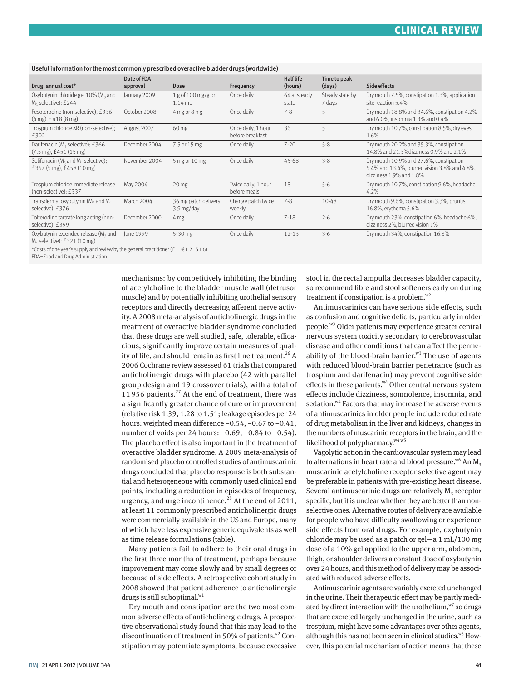#### Useful information for the most commonly prescribed overactive bladder drugs (worldwide) Drug; annual cost\* Date of FDA approval Dose Frequency Half life (hours) Time to peak (days) Side effects Oxybutynin chloride gel  $10\%$  (M<sub>3</sub> and M<sub>2</sub> selective): £244 January 2009  $1$  g of 100 mg/g or 1.14 mL Once daily 64 at steady state Steady state by 7 days Dry mouth 7.5%, constipation 1.3%, application site reaction 5.4% Fesoterodine (non-selective); £336 (4 mg), £418 (8 mg) October 2008 4 mg or 8 mg Once daily 7-8 5 Dry mouth 18.8% and 34.6%, constipation 4.2% and 6.0%, insomnia 1.3% and 0.4% Trospium chloride XR (non-selective); £302 August 2007 60 mg Once daily, 1 hour before breakfast 36 5 Dry mouth 10.7%, constipation 8.5%, dry eyes 1.6% Darifenacin (M<sub>3</sub> selective); £366 (7.5 mg), £451 (15 mg) December 2004 7.5 or 15 mg Once daily 7-20 5-8 Dry mouth 20.2% and 35.3%, constipation 14.8% and 21.3%dizziness 0.9% and 2.1% Solifenacin ( $M_3$  and  $M_1$  selective); £357 (5 mg), £458 (10 mg) November 2004 5 mg or 10 mg Once daily 45-68 3-8 Dry mouth 10.9% and 27.6%, constipation 5.4% and 13.4%, blurred vision 3.8% and 4.8%, dizziness 1.9% and 1.8% Trospium chloride immediate release (non-selective); £337 May 2004 20 mg Twice daily, 1 hour before meals 18 5-6 Dry mouth 10.7%, constipation 9.6%, headache  $4.2%$ Transdermal oxybutynin  $(M_3$  and  $M_1$ selective); £376 March 2004 36 mg patch delivers 3.9 mg/day Change patch twice weekly 7-8 10-48 Dry mouth 9.6%, constipation 3.3%, pruritis 16.8%, erythema 5.6% Tolterodine tartrate long acting (nonselective); £399 December 2000 4 mg Once daily 7-18 2-6 Dry mouth 23%, constipation 6%, headache 6%, dizziness 2%, blurred vision 1% Oxybutynin extended release  $(M<sub>3</sub>$  and M1 selective); £321 (10 mg) June 1999 5-30 mg Once daily 12-13 3-6 Dry mouth 34%, constipation 16.8%

\*Costs of one year's supply and review by the general practitioner  $(f_1 = 1.2 = $1.6)$ .

FDA=Food and Drug Administration.

mechanisms: by competitively inhibiting the binding of acetylcholine to the bladder muscle wall (detrusor muscle) and by potentially inhibiting urothelial sensory receptors and directly decreasing afferent nerve activity. A 2008 meta-analysis of anticholinergic drugs in the treatment of overactive bladder syndrome concluded that these drugs are well studied, safe, tolerable, efficacious, significantly improve certain measures of quality of life, and should remain as first line treatment.<sup>26</sup> A 2006 Cochrane review assessed 61 trials that compared anticholinergic drugs with placebo (42 with parallel group design and 19 crossover trials), with a total of 11 956 patients.<sup>27</sup> At the end of treatment, there was a significantly greater chance of cure or improvement (relative risk 1.39, 1.28 to 1.51; leakage episodes per 24 hours: weighted mean difference −0.54, −0.67 to −0.41; number of voids per 24 hours: -0.69, -0.84 to -0.54). The placebo effect is also important in the treatment of overactive bladder syndrome. A 2009 meta-analysis of randomised placebo controlled studies of antimuscarinic drugs concluded that placebo response is both substantial and heterogeneous with commonly used clinical end points, including a reduction in episodes of frequency, urgency, and urge incontinence.<sup>28</sup> At the end of 2011, at least 11 commonly prescribed anticholinergic drugs were commercially available in the US and Europe, many of which have less expensive generic equivalents as well as time release formulations (table).

Many patients fail to adhere to their oral drugs in the first three months of treatment, perhaps because improvement may come slowly and by small degrees or because of side effects. A retrospective cohort study in 2008 showed that patient adherence to anticholinergic drugs is still suboptimal.<sup>w1</sup>

Dry mouth and constipation are the two most common adverse effects of anticholinergic drugs. A prospective observational study found that this may lead to the discontinuation of treatment in 50% of patients.<sup>w2</sup> Constipation may potentiate symptoms, because excessive

stool in the rectal ampulla decreases bladder capacity, so recommend fibre and stool softeners early on during treatment if constipation is a problem. $w^2$ 

Antimuscarinics can have serious side effects, such as confusion and cognitive deficits, particularly in older people.w3 Older patients may experience greater central nervous system toxicity secondary to cerebrovascular disease and other conditions that can affect the permeability of the blood-brain barrier.<sup>w3</sup> The use of agents with reduced blood-brain barrier penetrance (such as trospium and darifenacin) may prevent cognitive side effects in these patients.<sup>w4</sup> Other central nervous system effects include dizziness, somnolence, insomnia, and sedation.<sup>w4</sup> Factors that may increase the adverse events of antimuscarinics in older people include reduced rate of drug metabolism in the liver and kidneys, changes in the numbers of muscarinic receptors in the brain, and the likelihood of polypharmacy.<sup>w4 w5</sup>

Vagolytic action in the cardiovascular system may lead to alternations in heart rate and blood pressure.<sup>w6</sup> An  $M_3$ muscarinic acetylcholine receptor selective agent may be preferable in patients with pre-existing heart disease. Several antimuscarinic drugs are relatively  $M<sub>3</sub>$  receptor specific, but it is unclear whether they are better than nonselective ones. Alternative routes of delivery are available for people who have difficulty swallowing or experience side effects from oral drugs. For example, oxybutynin chloride may be used as a patch or gel—a  $1 \text{ mL}/100 \text{ mg}$ dose of a 10% gel applied to the upper arm, abdomen, thigh, or shoulder delivers a constant dose of oxybutynin over 24 hours, and this method of delivery may be associated with reduced adverse effects.

Antimuscarinic agents are variably excreted unchanged in the urine. Their therapeutic effect may be partly mediated by direct interaction with the urothelium,  $w^7$  so drugs that are excreted largely unchanged in the urine, such as trospium, might have some advantages over other agents, although this has not been seen in clinical studies.<sup>w5</sup> However, this potential mechanism of action means that these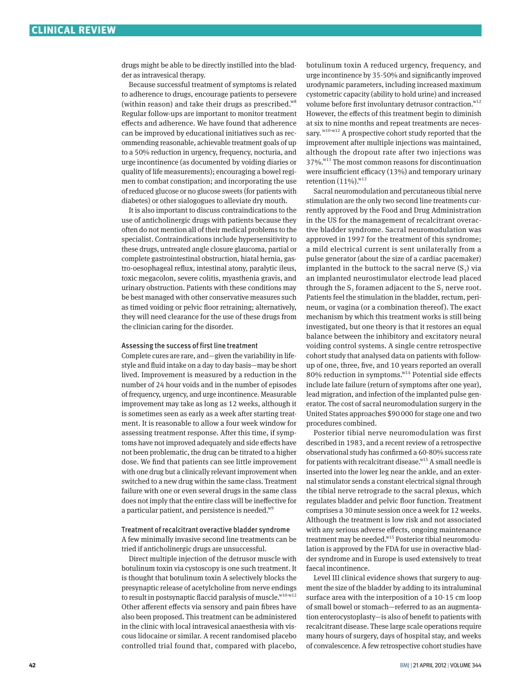drugs might be able to be directly instilled into the bladder as intravesical therapy.

Because successful treatment of symptoms is related to adherence to drugs, encourage patients to persevere (within reason) and take their drugs as prescribed. $^{w8}$ Regular follow-ups are important to monitor treatment effects and adherence. We have found that adherence can be improved by educational initiatives such as recommending reasonable, achievable treatment goals of up to a 50% reduction in urgency, frequency, nocturia, and urge incontinence (as documented by voiding diaries or quality of life measurements); encouraging a bowel regimen to combat constipation; and incorporating the use of reduced glucose or no glucose sweets (for patients with diabetes) or other sialogogues to alleviate dry mouth.

It is also important to discuss contraindications to the use of anticholinergic drugs with patients because they often do not mention all of their medical problems to the specialist. Contraindications include hypersensitivity to these drugs, untreated angle closure glaucoma, partial or complete gastrointestinal obstruction, hiatal hernia, gastro-oesophageal reflux, intestinal atony, paralytic ileus, toxic megacolon, severe colitis, myasthenia gravis, and urinary obstruction. Patients with these conditions may be best managed with other conservative measures such as timed voiding or pelvic floor retraining; alternatively, they will need clearance for the use of these drugs from the clinician caring for the disorder.

#### Assessing the success of first line treatment

Complete cures are rare, and—given the variability in lifestyle and fluid intake on a day to day basis—may be short lived. Improvement is measured by a reduction in the number of 24 hour voids and in the number of episodes of frequency, urgency, and urge incontinence. Measurable improvement may take as long as 12 weeks, although it is sometimes seen as early as a week after starting treatment. It is reasonable to allow a four week window for assessing treatment response. After this time, if symptoms have not improved adequately and side effects have not been problematic, the drug can be titrated to a higher dose. We find that patients can see little improvement with one drug but a clinically relevant improvement when switched to a new drug within the same class. Treatment failure with one or even several drugs in the same class does not imply that the entire class will be ineffective for a particular patient, and persistence is needed.<sup>w9</sup>

Treatment of recalcitrant overactive bladder syndrome A few minimally invasive second line treatments can be tried if anticholinergic drugs are unsuccessful.

Direct multiple injection of the detrusor muscle with botulinum toxin via cystoscopy is one such treatment. It is thought that botulinum toxin A selectively blocks the presynaptic release of acetylcholine from nerve endings to result in postsynaptic flaccid paralysis of muscle. $w^{10-w12}$ Other afferent effects via sensory and pain fibres have also been proposed. This treatment can be administered in the clinic with local intravesical anaesthesia with viscous lidocaine or similar. A recent randomised placebo controlled trial found that, compared with placebo,

botulinum toxin A reduced urgency, frequency, and urge incontinence by 35-50% and significantly improved urodynamic parameters, including increased maximum cystometric capacity (ability to hold urine) and increased volume before first involuntary detrusor contraction.<sup>w12</sup> However, the effects of this treatment begin to diminish at six to nine months and repeat treatments are necessary. W10-w12 A prospective cohort study reported that the improvement after multiple injections was maintained, although the dropout rate after two injections was  $37\%$ . The most common reasons for discontinuation were insufficient efficacy (13%) and temporary urinary retention  $(11\%)$ .  $W13$ 

Sacral neuromodulation and percutaneous tibial nerve stimulation are the only two second line treatments currently approved by the Food and Drug Administration in the US for the management of recalcitrant overactive bladder syndrome. Sacral neuromodulation was approved in 1997 for the treatment of this syndrome; a mild electrical current is sent unilaterally from a pulse generator (about the size of a cardiac pacemaker) implanted in the buttock to the sacral nerve  $(S_3)$  via an implanted neurostimulator electrode lead placed through the  $S<sub>3</sub>$  foramen adjacent to the  $S<sub>3</sub>$  nerve root. Patients feel the stimulation in the bladder, rectum, perineum, or vagina (or a combination thereof). The exact mechanism by which this treatment works is still being investigated, but one theory is that it restores an equal balance between the inhibitory and excitatory neural voiding control systems. A single centre retrospective cohort study that analysed data on patients with followup of one, three, five, and 10 years reported an overall 80% reduction in symptoms.<sup>w14</sup> Potential side effects include late failure (return of symptoms after one year), lead migration, and infection of the implanted pulse generator. The cost of sacral neuromodulation surgery in the United States approaches \$90000 for stage one and two procedures combined.

Posterior tibial nerve neuromodulation was first described in 1983, and a recent review of a retrospective observational study has confirmed a 60-80% success rate for patients with recalcitrant disease. $w15$  A small needle is inserted into the lower leg near the ankle, and an external stimulator sends a constant electrical signal through the tibial nerve retrograde to the sacral plexus, which regulates bladder and pelvic floor function. Treatment comprises a 30 minute session once a week for 12 weeks. Although the treatment is low risk and not associated with any serious adverse effects, ongoing maintenance treatment may be needed.<sup>w15</sup> Posterior tibial neuromodulation is approved by the FDA for use in overactive bladder syndrome and in Europe is used extensively to treat faecal incontinence.

Level III clinical evidence shows that surgery to augment the size of the bladder by adding to its intraluminal surface area with the interposition of a 10-15 cm loop of small bowel or stomach—referred to as an augmentation enterocystoplasty—is also of benefit to patients with recalcitrant disease. These large scale operations require many hours of surgery, days of hospital stay, and weeks of convalescence. A few retrospective cohort studies have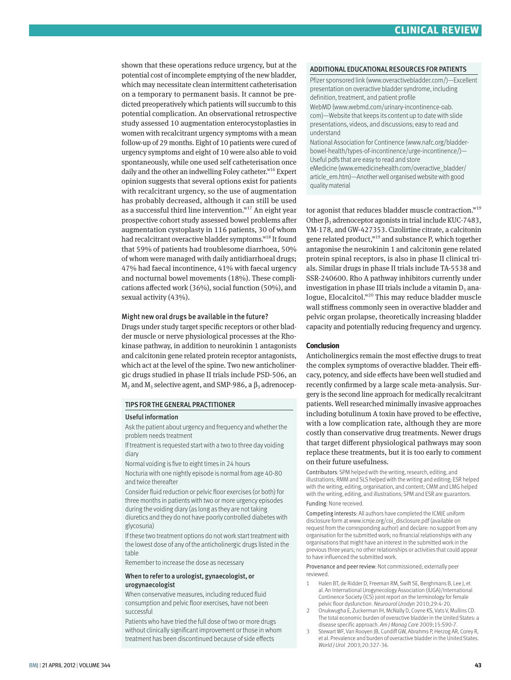shown that these operations reduce urgency, but at the potential cost of incomplete emptying of the new bladder, which may necessitate clean intermittent catheterisation on a temporary to permanent basis. It cannot be predicted preoperatively which patients will succumb to this potential complication. An observational retrospective study assessed 10 augmentation enterocystoplasties in women with recalcitrant urgency symptoms with a mean follow-up of 29 months. Eight of 10 patients were cured of urgency symptoms and eight of 10 were also able to void spontaneously, while one used self catheterisation once daily and the other an indwelling Foley catheter. $W^{16}$  Expert opinion suggests that several options exist for patients with recalcitrant urgency, so the use of augmentation has probably decreased, although it can still be used as a successful third line intervention. $W^{17}$  An eight year prospective cohort study assessed bowel problems after augmentation cystoplasty in 116 patients, 30 of whom had recalcitrant overactive bladder symptoms.<sup>w18</sup> It found that 59% of patients had troublesome diarrhoea, 50% of whom were managed with daily antidiarrhoeal drugs; 47% had faecal incontinence, 41% with faecal urgency and nocturnal bowel movements (18%). These complications affected work (36%), social function (50%), and sexual activity (43%).

#### Might new oral drugs be available in the future?

Drugs under study target specific receptors or other bladder muscle or nerve physiological processes at the Rhokinase pathway, in addition to neurokinin 1 antagonists and calcitonin gene related protein receptor antagonists, which act at the level of the spine. Two new anticholinergic drugs studied in phase II trials include PSD-506, an M<sub>2</sub> and M<sub>3</sub> selective agent, and SMP-986, a  $β_3$  adrenocep-

#### TIPS FOR THE GENERAL PRACTITIONER

#### Useful information

Ask the patient about urgency and frequency and whether the problem needs treatment

If treatment is requested start with a two to three day voiding diary

Normal voiding is five to eight times in 24 hours

Nocturia with one nightly episode is normal from age 40-80 and twice thereafter

Consider fluid reduction or pelvic floor exercises (or both) for three months in patients with two or more urgency episodes during the voiding diary (as long as they are not taking diuretics and they do not have poorly controlled diabetes with glycosuria)

If these two treatment options do not work start treatment with the lowest dose of any of the anticholinergic drugs listed in the table

Remember to increase the dose as necessary

#### When to refer to a urologist, gynaecologist, or urogynaecologist

When conservative measures, including reduced fluid consumption and pelvic floor exercises, have not been successful

Patients who have tried the full dose of two or more drugs without clinically significant improvement or those in whom treatment has been discontinued because of side effects

#### ADDITIONAL EDUCATIONAL RESOURCES FOR PATIENTS

Pfizer sponsored link (www.overactivebladder.com/)—Excellent presentation on overactive bladder syndrome, including definition, treatment, and patient profile

WebMD (www.webmd.com/urinary-incontinence-oab. com)—Website that keeps its content up to date with slide presentations, videos, and discussions; easy to read and understand

National Association for Continence (www.nafc.org/bladderbowel-health/types-of-incontinence/urge-incontinence/)— Useful pdfs that are easy to read and store

eMedicine (www.emedicinehealth.com/overactive\_bladder/ article\_em.htm)—Another well organised website with good quality material

tor agonist that reduces bladder muscle contraction.<sup>w19</sup> Other  $\beta$ <sub>3</sub> adrenoceptor agonists in trial include KUC-7483, YM-178, and GW-427353. Cizolirtine citrate, a calcitonin gene related product,  $w_{19}$  and substance P, which together antagonise the neurokinin 1 and calcitonin gene related protein spinal receptors, is also in phase II clinical trials. Similar drugs in phase II trials include TA-5538 and SSR-240600. Rho A pathway inhibitors currently under investigation in phase III trials include a vitamin  $D<sub>2</sub>$  analogue, Elocalcitol. $w^{20}$  This may reduce bladder muscle wall stiffness commonly seen in overactive bladder and pelvic organ prolapse, theoretically increasing bladder capacity and potentially reducing frequency and urgency.

#### **Conclusion**

Anticholinergics remain the most effective drugs to treat the complex symptoms of overactive bladder. Their efficacy, potency, and side effects have been well studied and recently confirmed by a large scale meta-analysis. Surgery is the second line approach for medically recalcitrant patients. Well researched minimally invasive approaches including botulinum A toxin have proved to be effective, with a low complication rate, although they are more costly than conservative drug treatments. Newer drugs that target different physiological pathways may soon replace these treatments, but it is too early to comment on their future usefulness.

Contributors: SPM helped with the writing, research, editing, and illustrations; RMM and SLS helped with the writing and editing; ESR helped with the writing, editing, organisation, and content; CMM and LMG helped with the writing, editing, and illustrations; SPM and ESR are guarantors.

Funding: None received.

Competing interests: All authors have completed the ICMJE uniform disclosure form at www.icmje.org/coi\_disclosure.pdf (available on request from the corresponding author) and declare: no support from any organisation for the submitted work; no financial relationships with any organisations that might have an interest in the submitted work in the previous three years; no other relationships or activities that could appear to have influenced the submitted work.

Provenance and peer review: Not commissioned; externally peer reviewed.

- 1 Halen BT, de Ridder D, Freeman RM, Swift SE, Berghmans B, Lee J, et al. An International Urogynecology Association (IUGA)/International Continence Society (ICS) joint report on the terminology for female pelvic floor dysfunction. *Neurourol Urodyn* 2010;29:4-20.
- 2 Onukwugha E, Zuckerman IH, McNally D, Coyne KS, Vats V, Mullins CD. The total economic burden of overactive bladder in the United States: a disease specific approach. *Am J Manag Care* 2009;15:S90-7.
- 3 Stewart WF, Van Rooyen JB, Cundiff GW, Abrahms P, Herzog AR, Corey R, et al. Prevalence and burden of overactive bladder in the United States. *World J Urol* 2003;20:327-36.